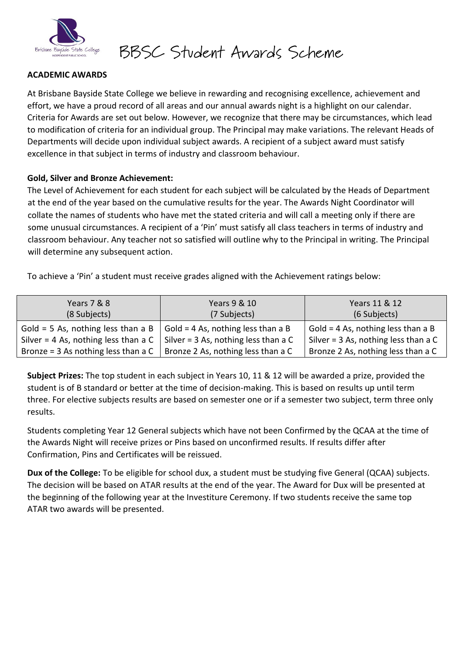

BBSC Student Awards Scheme

### **ACADEMIC AWARDS**

At Brisbane Bayside State College we believe in rewarding and recognising excellence, achievement and effort, we have a proud record of all areas and our annual awards night is a highlight on our calendar. Criteria for Awards are set out below. However, we recognize that there may be circumstances, which lead to modification of criteria for an individual group. The Principal may make variations. The relevant Heads of Departments will decide upon individual subject awards. A recipient of a subject award must satisfy excellence in that subject in terms of industry and classroom behaviour.

#### **Gold, Silver and Bronze Achievement:**

The Level of Achievement for each student for each subject will be calculated by the Heads of Department at the end of the year based on the cumulative results for the year. The Awards Night Coordinator will collate the names of students who have met the stated criteria and will call a meeting only if there are some unusual circumstances. A recipient of a 'Pin' must satisfy all class teachers in terms of industry and classroom behaviour. Any teacher not so satisfied will outline why to the Principal in writing. The Principal will determine any subsequent action.

To achieve a 'Pin' a student must receive grades aligned with the Achievement ratings below:

| Years 7 & 8<br>(8 Subjects)            | Years 9 & 10<br>(7 Subjects)         | Years 11 & 12<br>(6 Subjects)          |
|----------------------------------------|--------------------------------------|----------------------------------------|
| Gold = 5 As, nothing less than a B     | Gold = 4 As, nothing less than a B   | Gold = 4 As, nothing less than a B     |
| Silver = $4$ As, nothing less than a C | Silver = 3 As, nothing less than a C | Silver = $3$ As, nothing less than a C |
| Bronze = $3$ As nothing less than a C  | Bronze 2 As, nothing less than a C   | Bronze 2 As, nothing less than a C     |

**Subject Prizes:** The top student in each subject in Years 10, 11 & 12 will be awarded a prize, provided the student is of B standard or better at the time of decision-making. This is based on results up until term three. For elective subjects results are based on semester one or if a semester two subject, term three only results.

Students completing Year 12 General subjects which have not been Confirmed by the QCAA at the time of the Awards Night will receive prizes or Pins based on unconfirmed results. If results differ after Confirmation, Pins and Certificates will be reissued.

**Dux of the College:** To be eligible for school dux, a student must be studying five General (QCAA) subjects. The decision will be based on ATAR results at the end of the year. The Award for Dux will be presented at the beginning of the following year at the Investiture Ceremony. If two students receive the same top ATAR two awards will be presented.